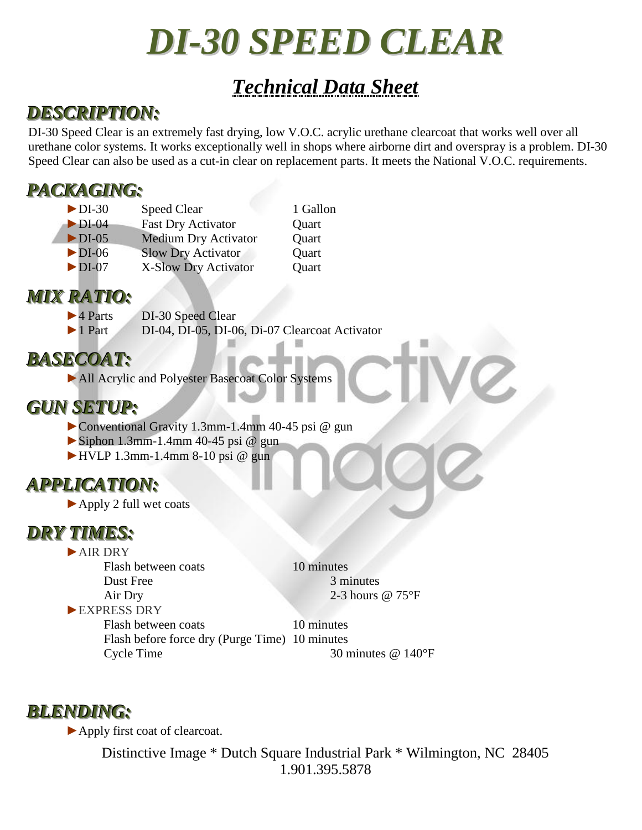# *DI-30 SPEED CLEAR*

# *Technical Data Sheet*

## *DESCRIPTION:*

DI-30 Speed Clear is an extremely fast drying, low V.O.C. acrylic urethane clearcoat that works well over all urethane color systems. It works exceptionally well in shops where airborne dirt and overspray is a problem. DI-30 Speed Clear can also be used as a cut-in clear on replacement parts. It meets the National V.O.C. requirements.

#### *PACKAGING:*

| $\blacktriangleright$ DI-30 | <b>Speed Clear</b>          | 1 Gallon |
|-----------------------------|-----------------------------|----------|
| $\blacktriangleright$ DI-04 | <b>Fast Dry Activator</b>   | Quart    |
| $\blacktriangleright$ DI-05 | <b>Medium Dry Activator</b> | Quart    |
| $\blacktriangleright$ DI-06 | <b>Slow Dry Activator</b>   | Quart    |
| $\blacktriangleright$ DI-07 | X-Slow Dry Activator        | Quart    |
|                             |                             |          |

#### *MIX RATIO:*

▶4 Parts DI-30 Speed Clear

►1 Part DI-04, DI-05, DI-06, Di-07 Clearcoat Activator

#### *BASECOAT:*

►All Acrylic and Polyester Basecoat Color Systems

#### *GUN SETUP:*

- ►Conventional Gravity 1.3mm-1.4mm 40-45 psi @ gun
- $\triangleright$  Siphon 1.3mm-1.4mm 40-45 psi @ gun
- $\blacktriangleright$  HVLP 1.3mm-1.4mm 8-10 psi @ gun

## *APPLICATION:*

►Apply 2 full wet coats

#### *DRY TIMES:*

►AIR DRY

Flash between coats 10 minutes Dust Free 3 minutes Air Dry 2-3 hours @ 75°F

►EXPRESS DRY

Flash between coats 10 minutes Flash before force dry (Purge Time) 10 minutes Cycle Time 30 minutes @ 140°F

#### *BLENDING:*

►Apply first coat of clearcoat.

Distinctive Image \* Dutch Square Industrial Park \* Wilmington, NC 28405 1.901.395.5878